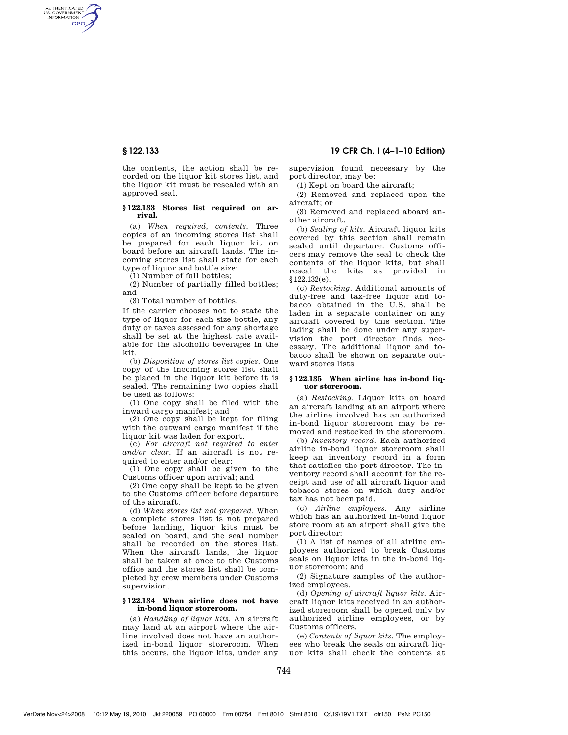AUTHENTICATED<br>U.S. GOVERNMENT<br>INFORMATION **GPO** 

> the contents, the action shall be recorded on the liquor kit stores list, and the liquor kit must be resealed with an approved seal.

## **§ 122.133 Stores list required on arrival.**

(a) *When required, contents.* Three copies of an incoming stores list shall be prepared for each liquor kit on board before an aircraft lands. The incoming stores list shall state for each type of liquor and bottle size:

(1) Number of full bottles;

(2) Number of partially filled bottles; and

(3) Total number of bottles.

If the carrier chooses not to state the type of liquor for each size bottle, any duty or taxes assessed for any shortage shall be set at the highest rate available for the alcoholic beverages in the kit.

(b) *Disposition of stores list copies.* One copy of the incoming stores list shall be placed in the liquor kit before it is sealed. The remaining two copies shall be used as follows:

(1) One copy shall be filed with the inward cargo manifest; and

(2) One copy shall be kept for filing with the outward cargo manifest if the liquor kit was laden for export.

(c) *For aircraft not required to enter and/or clear.* If an aircraft is not required to enter and/or clear:

(1) One copy shall be given to the Customs officer upon arrival; and

(2) One copy shall be kept to be given to the Customs officer before departure of the aircraft.

(d) *When stores list not prepared.* When a complete stores list is not prepared before landing, liquor kits must be sealed on board, and the seal number shall be recorded on the stores list. When the aircraft lands, the liquor shall be taken at once to the Customs office and the stores list shall be completed by crew members under Customs supervision.

## **§ 122.134 When airline does not have in-bond liquor storeroom.**

(a) *Handling of liquor kits.* An aircraft may land at an airport where the airline involved does not have an authorized in-bond liquor storeroom. When this occurs, the liquor kits, under any

**§ 122.133 19 CFR Ch. I (4–1–10 Edition)** 

supervision found necessary by the port director, may be:

(1) Kept on board the aircraft;

(2) Removed and replaced upon the aircraft; or

(3) Removed and replaced aboard another aircraft.

(b) *Sealing of kits.* Aircraft liquor kits covered by this section shall remain sealed until departure. Customs officers may remove the seal to check the contents of the liquor kits, but shall reseal the kits as provided in §122.132(e).

(c) *Restocking.* Additional amounts of duty-free and tax-free liquor and tobacco obtained in the U.S. shall be laden in a separate container on any aircraft covered by this section. The lading shall be done under any supervision the port director finds necessary. The additional liquor and tobacco shall be shown on separate outward stores lists.

#### **§ 122.135 When airline has in-bond liquor storeroom.**

(a) *Restocking.* Liquor kits on board an aircraft landing at an airport where the airline involved has an authorized in-bond liquor storeroom may be removed and restocked in the storeroom.

(b) *Inventory record.* Each authorized airline in-bond liquor storeroom shall keep an inventory record in a form that satisfies the port director. The inventory record shall account for the receipt and use of all aircraft liquor and tobacco stores on which duty and/or tax has not been paid.

(c) *Airline employees.* Any airline which has an authorized in-bond liquor store room at an airport shall give the port director:

(1) A list of names of all airline employees authorized to break Customs seals on liquor kits in the in-bond liquor storeroom; and

(2) Signature samples of the authorized employees.

(d) *Opening of aircraft liquor kits.* Aircraft liquor kits received in an authorized storeroom shall be opened only by authorized airline employees, or by Customs officers.

(e) *Contents of liquor kits.* The employees who break the seals on aircraft liquor kits shall check the contents at